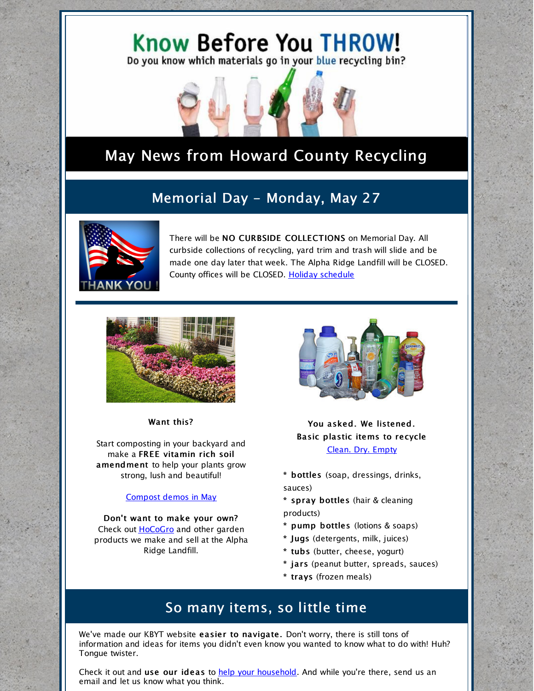



# May News from Howard County Recycling

## Memorial Day - Monday, May 27



There will be NO CURBSIDE COLLECTIONS on Memorial Day. All curbside collections of recycling, yard trim and trash will slide and be made one day later that week. The Alpha Ridge Landfill will be CLOSED. County offices will be CLOSED. Holiday [schedule](https://www.howardcountymd.gov/Departments/Public-Works/Bureau-Of-Environmental-Services/Curbside-Collections/Holiday-Schedule-for-Recycling-Trash)



Want this?

Start composting in your backyard and make a FREE vitamin rich soil amendment to help your plants grow strong, lush and beautiful!

#### [Compost](https://www.howardcountymd.gov/Departments/Public-Works/Bureau-Of-Environmental-Services/News-and-Upcoming-Events#May-50) demos in May

Don't want to make your own? Check out [HoCoGro](https://www.howardcountymd.gov/Departments/Public-Works/Bureau-Of-Environmental-Services/Alpha-Ridge-Landfill/WoodWaste-Drop-Off-Area) and other garden products we make and sell at the Alpha Ridge Landfill.



You asked. We listened. Basic plastic items to recycle Clean. Dry. Empty

- \* bottles (soap, dressings, drinks, sauces)
- \* spray bottles (hair & cleaning products)
- \* pump bottles (lotions & soaps)
- \* Jugs (detergents, milk, juices)
- \* tubs (butter, cheese, yogurt)
- \* jars (peanut butter, spreads, sauces)
- \* trays (frozen meals)

### So many items, so little time

We've made our KBYT website easier to navigate. Don't worry, there is still tons of information and ideas for items you didn't even know you wanted to know what to do with! Huh? Tongue twister.

Check it out and use our ideas to help your [household](http://knowbeforeyouthrow.org/). And while you're there, send us an email and let us know what you think.